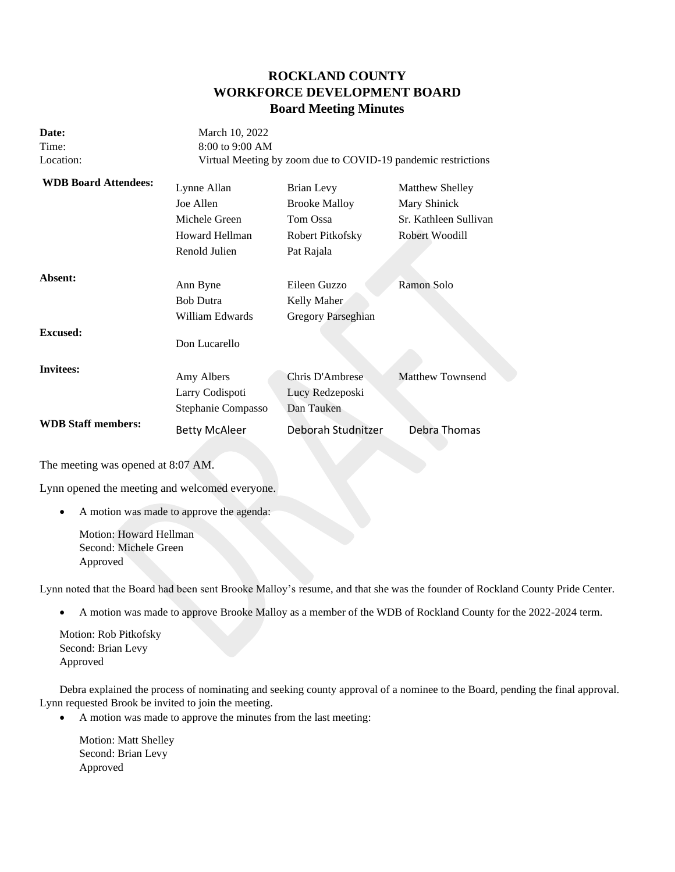# **ROCKLAND COUNTY WORKFORCE DEVELOPMENT BOARD Board Meeting Minutes**

| Date:<br>Time:<br>Location: | March 10, 2022<br>8:00 to 9:00 AM                                                   | Virtual Meeting by zoom due to COVID-19 pandemic restrictions                    |                                                                                   |
|-----------------------------|-------------------------------------------------------------------------------------|----------------------------------------------------------------------------------|-----------------------------------------------------------------------------------|
| <b>WDB Board Attendees:</b> | Lynne Allan<br>Joe Allen<br>Michele Green<br><b>Howard Hellman</b><br>Renold Julien | Brian Levy<br><b>Brooke Malloy</b><br>Tom Ossa<br>Robert Pitkofsky<br>Pat Rajala | <b>Matthew Shelley</b><br>Mary Shinick<br>Sr. Kathleen Sullivan<br>Robert Woodill |
| Absent:                     | Ann Byne<br><b>Bob Dutra</b><br>William Edwards                                     | Eileen Guzzo<br>Kelly Maher<br>Gregory Parseghian                                | Ramon Solo                                                                        |
| Excused:                    | Don Lucarello                                                                       |                                                                                  |                                                                                   |
| <b>Invitees:</b>            | Amy Albers<br>Larry Codispoti<br>Stephanie Compasso                                 | Chris D'Ambrese<br>Lucy Redzeposki<br>Dan Tauken                                 | <b>Matthew Townsend</b>                                                           |
| <b>WDB Staff members:</b>   | <b>Betty McAleer</b>                                                                | Deborah Studnitzer                                                               | Debra Thomas                                                                      |

The meeting was opened at 8:07 AM.

Lynn opened the meeting and welcomed everyone.

• A motion was made to approve the agenda:

Motion: Howard Hellman Second: Michele Green Approved

Lynn noted that the Board had been sent Brooke Malloy's resume, and that she was the founder of Rockland County Pride Center.

• A motion was made to approve Brooke Malloy as a member of the WDB of Rockland County for the 2022-2024 term.

Motion: Rob Pitkofsky Second: Brian Levy Approved

Debra explained the process of nominating and seeking county approval of a nominee to the Board, pending the final approval. Lynn requested Brook be invited to join the meeting.

• A motion was made to approve the minutes from the last meeting:

Motion: Matt Shelley Second: Brian Levy Approved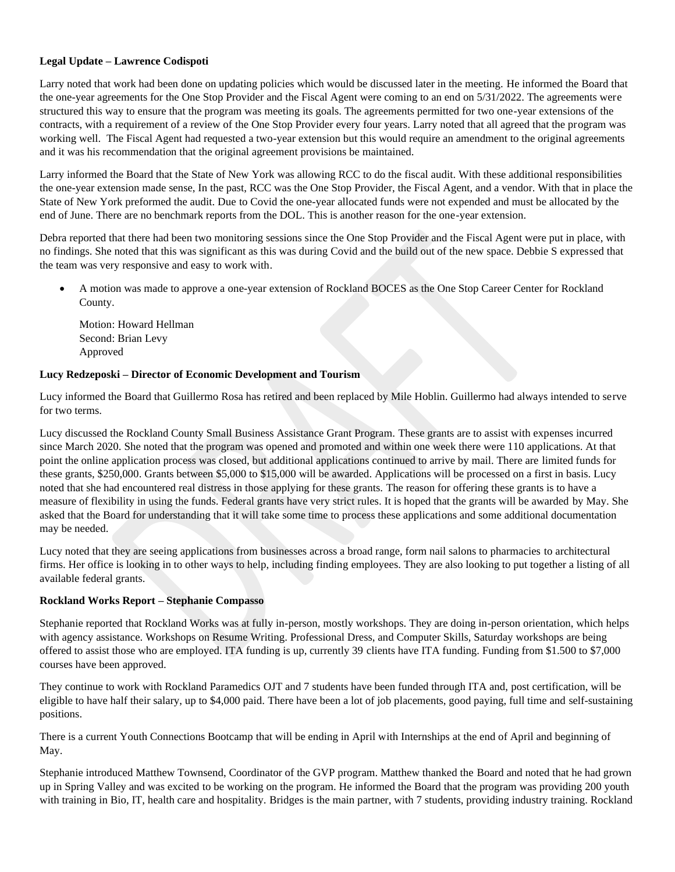# **Legal Update – Lawrence Codispoti**

Larry noted that work had been done on updating policies which would be discussed later in the meeting. He informed the Board that the one-year agreements for the One Stop Provider and the Fiscal Agent were coming to an end on 5/31/2022. The agreements were structured this way to ensure that the program was meeting its goals. The agreements permitted for two one-year extensions of the contracts, with a requirement of a review of the One Stop Provider every four years. Larry noted that all agreed that the program was working well. The Fiscal Agent had requested a two-year extension but this would require an amendment to the original agreements and it was his recommendation that the original agreement provisions be maintained.

Larry informed the Board that the State of New York was allowing RCC to do the fiscal audit. With these additional responsibilities the one-year extension made sense, In the past, RCC was the One Stop Provider, the Fiscal Agent, and a vendor. With that in place the State of New York preformed the audit. Due to Covid the one-year allocated funds were not expended and must be allocated by the end of June. There are no benchmark reports from the DOL. This is another reason for the one-year extension.

Debra reported that there had been two monitoring sessions since the One Stop Provider and the Fiscal Agent were put in place, with no findings. She noted that this was significant as this was during Covid and the build out of the new space. Debbie S expressed that the team was very responsive and easy to work with.

• A motion was made to approve a one-year extension of Rockland BOCES as the One Stop Career Center for Rockland County.

Motion: Howard Hellman Second: Brian Levy Approved

# **Lucy Redzeposki – Director of Economic Development and Tourism**

Lucy informed the Board that Guillermo Rosa has retired and been replaced by Mile Hoblin. Guillermo had always intended to serve for two terms.

Lucy discussed the Rockland County Small Business Assistance Grant Program. These grants are to assist with expenses incurred since March 2020. She noted that the program was opened and promoted and within one week there were 110 applications. At that point the online application process was closed, but additional applications continued to arrive by mail. There are limited funds for these grants, \$250,000. Grants between \$5,000 to \$15,000 will be awarded. Applications will be processed on a first in basis. Lucy noted that she had encountered real distress in those applying for these grants. The reason for offering these grants is to have a measure of flexibility in using the funds. Federal grants have very strict rules. It is hoped that the grants will be awarded by May. She asked that the Board for understanding that it will take some time to process these applications and some additional documentation may be needed.

Lucy noted that they are seeing applications from businesses across a broad range, form nail salons to pharmacies to architectural firms. Her office is looking in to other ways to help, including finding employees. They are also looking to put together a listing of all available federal grants.

# **Rockland Works Report – Stephanie Compasso**

Stephanie reported that Rockland Works was at fully in-person, mostly workshops. They are doing in-person orientation, which helps with agency assistance. Workshops on Resume Writing. Professional Dress, and Computer Skills, Saturday workshops are being offered to assist those who are employed. ITA funding is up, currently 39 clients have ITA funding. Funding from \$1.500 to \$7,000 courses have been approved.

They continue to work with Rockland Paramedics OJT and 7 students have been funded through ITA and, post certification, will be eligible to have half their salary, up to \$4,000 paid. There have been a lot of job placements, good paying, full time and self-sustaining positions.

There is a current Youth Connections Bootcamp that will be ending in April with Internships at the end of April and beginning of May.

Stephanie introduced Matthew Townsend, Coordinator of the GVP program. Matthew thanked the Board and noted that he had grown up in Spring Valley and was excited to be working on the program. He informed the Board that the program was providing 200 youth with training in Bio, IT, health care and hospitality. Bridges is the main partner, with 7 students, providing industry training. Rockland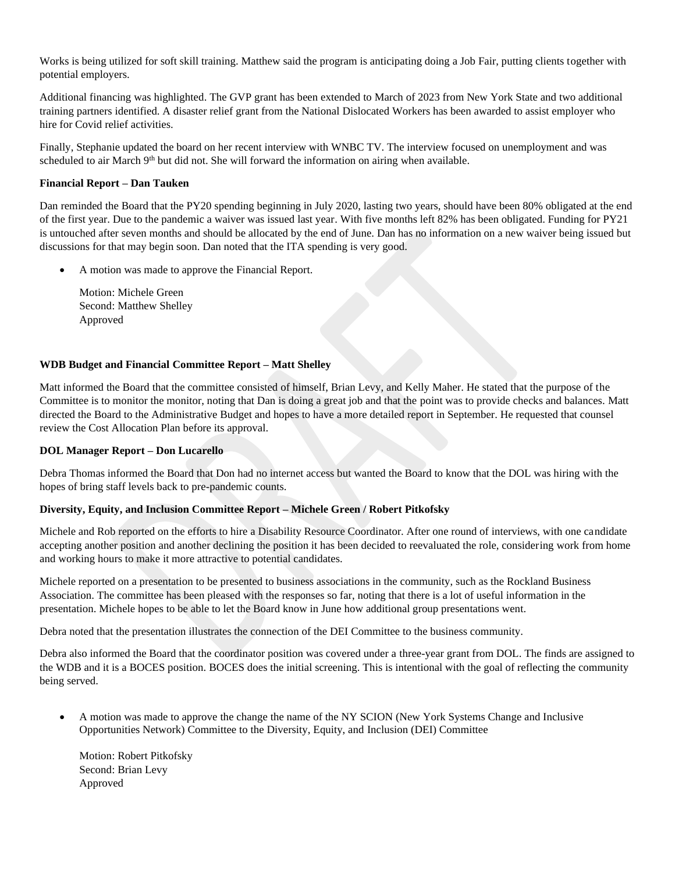Works is being utilized for soft skill training. Matthew said the program is anticipating doing a Job Fair, putting clients together with potential employers.

Additional financing was highlighted. The GVP grant has been extended to March of 2023 from New York State and two additional training partners identified. A disaster relief grant from the National Dislocated Workers has been awarded to assist employer who hire for Covid relief activities.

Finally, Stephanie updated the board on her recent interview with WNBC TV. The interview focused on unemployment and was scheduled to air March  $9<sup>th</sup>$  but did not. She will forward the information on airing when available.

# **Financial Report – Dan Tauken**

Dan reminded the Board that the PY20 spending beginning in July 2020, lasting two years, should have been 80% obligated at the end of the first year. Due to the pandemic a waiver was issued last year. With five months left 82% has been obligated. Funding for PY21 is untouched after seven months and should be allocated by the end of June. Dan has no information on a new waiver being issued but discussions for that may begin soon. Dan noted that the ITA spending is very good.

• A motion was made to approve the Financial Report.

Motion: Michele Green Second: Matthew Shelley Approved

## **WDB Budget and Financial Committee Report – Matt Shelley**

Matt informed the Board that the committee consisted of himself, Brian Levy, and Kelly Maher. He stated that the purpose of the Committee is to monitor the monitor, noting that Dan is doing a great job and that the point was to provide checks and balances. Matt directed the Board to the Administrative Budget and hopes to have a more detailed report in September. He requested that counsel review the Cost Allocation Plan before its approval.

#### **DOL Manager Report – Don Lucarello**

Debra Thomas informed the Board that Don had no internet access but wanted the Board to know that the DOL was hiring with the hopes of bring staff levels back to pre-pandemic counts.

## **Diversity, Equity, and Inclusion Committee Report – Michele Green / Robert Pitkofsky**

Michele and Rob reported on the efforts to hire a Disability Resource Coordinator. After one round of interviews, with one candidate accepting another position and another declining the position it has been decided to reevaluated the role, considering work from home and working hours to make it more attractive to potential candidates.

Michele reported on a presentation to be presented to business associations in the community, such as the Rockland Business Association. The committee has been pleased with the responses so far, noting that there is a lot of useful information in the presentation. Michele hopes to be able to let the Board know in June how additional group presentations went.

Debra noted that the presentation illustrates the connection of the DEI Committee to the business community.

Debra also informed the Board that the coordinator position was covered under a three-year grant from DOL. The finds are assigned to the WDB and it is a BOCES position. BOCES does the initial screening. This is intentional with the goal of reflecting the community being served.

• A motion was made to approve the change the name of the NY SCION (New York Systems Change and Inclusive Opportunities Network) Committee to the Diversity, Equity, and Inclusion (DEI) Committee

Motion: Robert Pitkofsky Second: Brian Levy Approved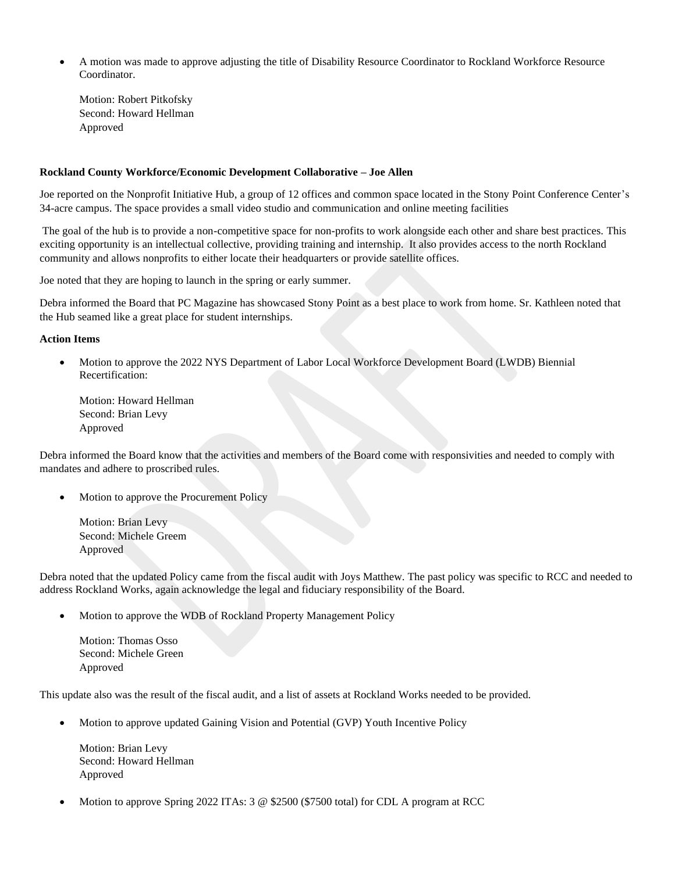• A motion was made to approve adjusting the title of Disability Resource Coordinator to Rockland Workforce Resource Coordinator.

Motion: Robert Pitkofsky Second: Howard Hellman Approved

### **Rockland County Workforce/Economic Development Collaborative – Joe Allen**

Joe reported on the Nonprofit Initiative Hub, a group of 12 offices and common space located in the Stony Point Conference Center's 34-acre campus. The space provides a small video studio and communication and online meeting facilities

The goal of the hub is to provide a non-competitive space for non-profits to work alongside each other and share best practices. This exciting opportunity is an intellectual collective, providing training and internship. It also provides access to the north Rockland community and allows nonprofits to either locate their headquarters or provide satellite offices.

Joe noted that they are hoping to launch in the spring or early summer.

Debra informed the Board that PC Magazine has showcased Stony Point as a best place to work from home. Sr. Kathleen noted that the Hub seamed like a great place for student internships.

## **Action Items**

• Motion to approve the 2022 NYS Department of Labor Local Workforce Development Board (LWDB) Biennial Recertification:

Motion: Howard Hellman Second: Brian Levy Approved

Debra informed the Board know that the activities and members of the Board come with responsivities and needed to comply with mandates and adhere to proscribed rules.

• Motion to approve the Procurement Policy

Motion: Brian Levy Second: Michele Greem Approved

Debra noted that the updated Policy came from the fiscal audit with Joys Matthew. The past policy was specific to RCC and needed to address Rockland Works, again acknowledge the legal and fiduciary responsibility of the Board.

• Motion to approve the WDB of Rockland Property Management Policy

Motion: Thomas Osso Second: Michele Green Approved

This update also was the result of the fiscal audit, and a list of assets at Rockland Works needed to be provided.

• Motion to approve updated Gaining Vision and Potential (GVP) Youth Incentive Policy

Motion: Brian Levy Second: Howard Hellman Approved

• Motion to approve Spring 2022 ITAs: 3 @ \$2500 (\$7500 total) for CDL A program at RCC